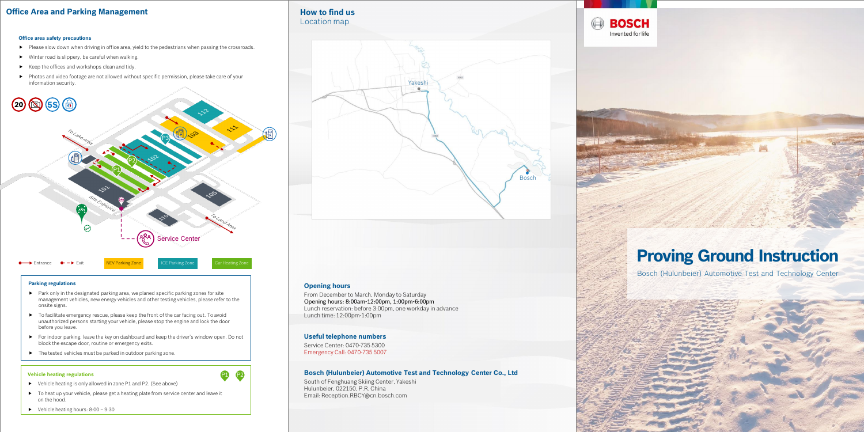# **Office Area and Parking Management**

### **Vehicle heating regulations**

### **Parking regulations**

- $\blacktriangleright$  Park only in the designated parking area, we planed specific parking zones for site management vehicles, new energy vehicles and other testing vehicles, please refer to the onsite signs.
- $\triangleright$  To facilitate emergency rescue, please keep the front of the car facing out. To avoid unauthorized persons starting your vehicle, please stop the engine and lock the door before you leave.
- For indoor parking, leave the key on dashboard and keep the driver's window open. Do not block the escape door, routine or emergency exits.
- $\blacktriangleright$  The tested vehicles must be parked in outdoor parking zone.
- $\blacktriangleright$  Please slow down when driving in office area, yield to the pedestrians when passing the crossroads.
- $\blacktriangleright$  Winter road is slippery, be careful when walking.
- $\blacktriangleright$  Keep the offices and workshops clean and tidy.
- Photos and video footage are not allowed without specific permission, please take care of your information security.

- P1 P2
- Vehicle heating is only allowed in zone P1 and P2. (See above)
- $\blacktriangleright$  To heat up your vehicle, please get a heating plate from service center and leave it on the hood.
- $\blacktriangleright$  Vehicle heating hours:  $8:00 9:30$



## **Office area safety precautions**

Bosch (Hulunbeier) Automotive Test and Technology Center



# **Opening hours**

From December to March, Monday to Saturday Opening hours: 8:00am-12:00pm, 1:00pm-6:00pm Lunch reservation: before 3:00pm, one workday in advance Lunch time: 12:00pm-1:00pm

# **Useful telephone numbers**

Service Center: 0470-735 5300 Emergency Call: 0470-735 5007

# **Bosch (Hulunbeier) Automotive Test and Technology Center Co., Ltd**

South of Fenghuang Skiing Center, Yakeshi Hulunbeier, 022150, P.R. China Email: Reception.RBCY@cn.bosch.com

**BOSCH** 

Invented for life

 $\left( \bigoplus \right)$ 

**How to find us**